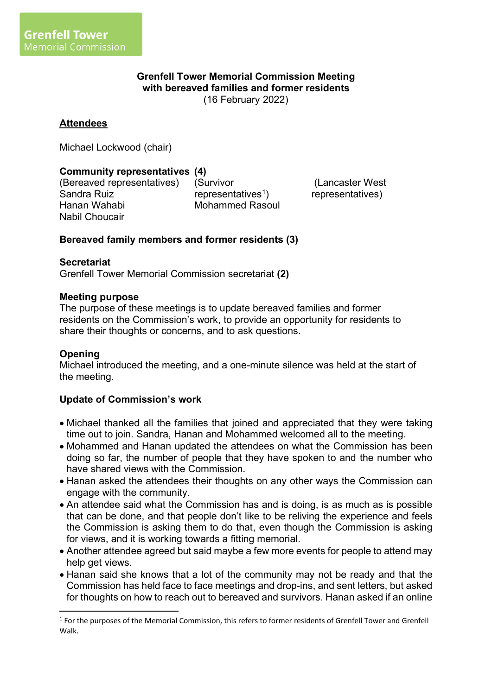### **Grenfell Tower Memorial Commission Meeting with bereaved families and former residents** (16 February 2022)

## **Attendees**

Michael Lockwood (chair)

## **Community representatives (4)**

(Bereaved representatives) Sandra Ruiz Hanan Wahabi Nabil Choucair

(Survivor representatives<sup>1</sup>) Mohammed Rasoul

(Lancaster West representatives)

### **Bereaved family members and former residents (3)**

#### **Secretariat**

Grenfell Tower Memorial Commission secretariat **(2)**

#### **Meeting purpose**

The purpose of these meetings is to update bereaved families and former residents on the Commission's work, to provide an opportunity for residents to share their thoughts or concerns, and to ask questions.

### **Opening**

Michael introduced the meeting, and a one-minute silence was held at the start of the meeting.

#### **Update of Commission's work**

- Michael thanked all the families that joined and appreciated that they were taking time out to join. Sandra, Hanan and Mohammed welcomed all to the meeting.
- Mohammed and Hanan updated the attendees on what the Commission has been doing so far, the number of people that they have spoken to and the number who have shared views with the Commission.
- Hanan asked the attendees their thoughts on any other ways the Commission can engage with the community.
- An attendee said what the Commission has and is doing, is as much as is possible that can be done, and that people don't like to be reliving the experience and feels the Commission is asking them to do that, even though the Commission is asking for views, and it is working towards a fitting memorial.
- Another attendee agreed but said maybe a few more events for people to attend may help get views.
- Hanan said she knows that a lot of the community may not be ready and that the Commission has held face to face meetings and drop-ins, and sent letters, but asked for thoughts on how to reach out to bereaved and survivors. Hanan asked if an online

<sup>&</sup>lt;sup>1</sup> For the purposes of the Memorial Commission, this refers to former residents of Grenfell Tower and Grenfell Walk.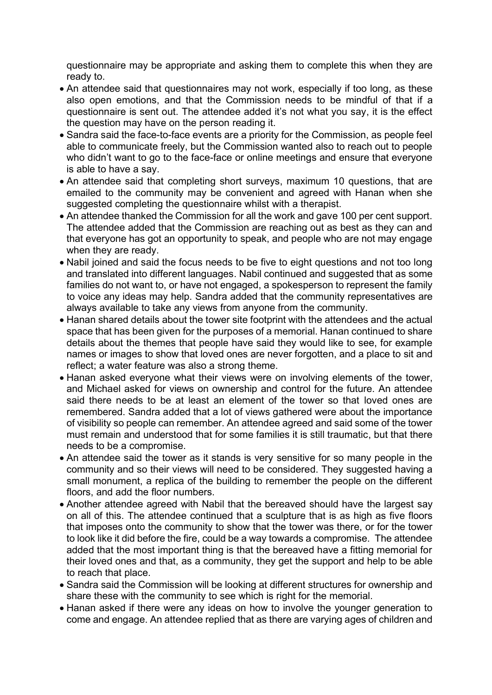questionnaire may be appropriate and asking them to complete this when they are ready to.

- An attendee said that questionnaires may not work, especially if too long, as these also open emotions, and that the Commission needs to be mindful of that if a questionnaire is sent out. The attendee added it's not what you say, it is the effect the question may have on the person reading it.
- Sandra said the face-to-face events are a priority for the Commission, as people feel able to communicate freely, but the Commission wanted also to reach out to people who didn't want to go to the face-face or online meetings and ensure that everyone is able to have a say.
- An attendee said that completing short surveys, maximum 10 questions, that are emailed to the community may be convenient and agreed with Hanan when she suggested completing the questionnaire whilst with a therapist.
- An attendee thanked the Commission for all the work and gave 100 per cent support. The attendee added that the Commission are reaching out as best as they can and that everyone has got an opportunity to speak, and people who are not may engage when they are ready.
- Nabil joined and said the focus needs to be five to eight questions and not too long and translated into different languages. Nabil continued and suggested that as some families do not want to, or have not engaged, a spokesperson to represent the family to voice any ideas may help. Sandra added that the community representatives are always available to take any views from anyone from the community.
- Hanan shared details about the tower site footprint with the attendees and the actual space that has been given for the purposes of a memorial. Hanan continued to share details about the themes that people have said they would like to see, for example names or images to show that loved ones are never forgotten, and a place to sit and reflect; a water feature was also a strong theme.
- Hanan asked everyone what their views were on involving elements of the tower, and Michael asked for views on ownership and control for the future. An attendee said there needs to be at least an element of the tower so that loved ones are remembered. Sandra added that a lot of views gathered were about the importance of visibility so people can remember. An attendee agreed and said some of the tower must remain and understood that for some families it is still traumatic, but that there needs to be a compromise.
- An attendee said the tower as it stands is very sensitive for so many people in the community and so their views will need to be considered. They suggested having a small monument, a replica of the building to remember the people on the different floors, and add the floor numbers.
- Another attendee agreed with Nabil that the bereaved should have the largest say on all of this. The attendee continued that a sculpture that is as high as five floors that imposes onto the community to show that the tower was there, or for the tower to look like it did before the fire, could be a way towards a compromise. The attendee added that the most important thing is that the bereaved have a fitting memorial for their loved ones and that, as a community, they get the support and help to be able to reach that place.
- Sandra said the Commission will be looking at different structures for ownership and share these with the community to see which is right for the memorial.
- Hanan asked if there were any ideas on how to involve the younger generation to come and engage. An attendee replied that as there are varying ages of children and